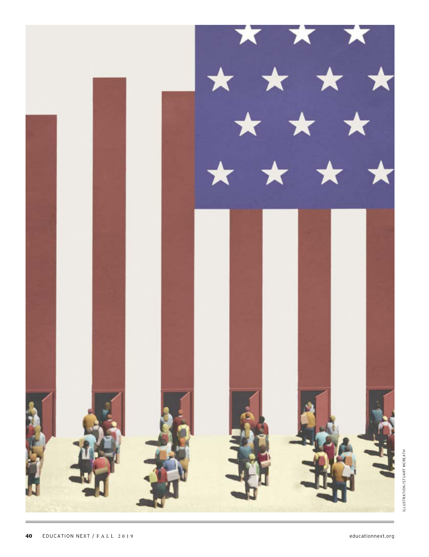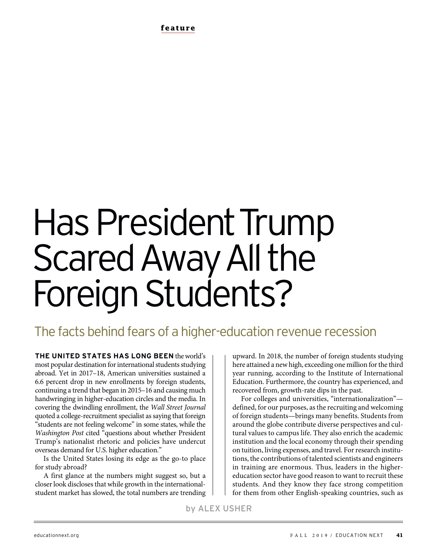# Has President Trump Scared Away All the Foreign Students?

## The facts behind fears of a higher-education revenue recession

**THE UNITED STATES HAS LONG BEEN** the world's most popular destination for international students studying abroad. Yet in 2017–18, American universities sustained a 6.6 percent drop in new enrollments by foreign students, continuing a trend that began in 2015–16 and causing much handwringing in higher-education circles and the media. In covering the dwindling enrollment, the *Wall Street Journal* quoted a college-recruitment specialist as saying that foreign "students are not feeling welcome" in some states, while the *Washington Post* cited "questions about whether President Trump's nationalist rhetoric and policies have undercut overseas demand for U.S. higher education."

Is the United States losing its edge as the go-to place for study abroad?

A first glance at the numbers might suggest so, but a closer look discloses that while growth in the internationalstudent market has slowed, the total numbers are trending

upward. In 2018, the number of foreign students studying here attained a new high, exceeding one million for the third year running, according to the Institute of International Education. Furthermore, the country has experienced, and recovered from, growth-rate dips in the past.

For colleges and universities, "internationalization" defined, for our purposes, as the recruiting and welcoming of foreign students—brings many benefits. Students from around the globe contribute diverse perspectives and cultural values to campus life. They also enrich the academic institution and the local economy through their spending on tuition, living expenses, and travel. For research institutions, the contributions of talented scientists and engineers in training are enormous. Thus, leaders in the highereducation sector have good reason to want to recruit these students. And they know they face strong competition for them from other English-speaking countries, such as

by ALEX USHER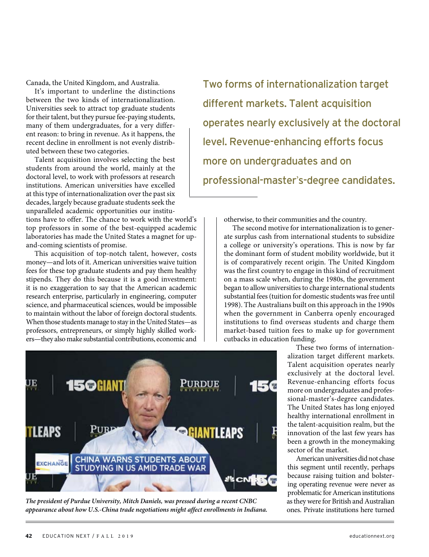Canada, the United Kingdom, and Australia.

It's important to underline the distinctions between the two kinds of internationalization. Universities seek to attract top graduate students for their talent, but they pursue fee-paying students, many of them undergraduates, for a very different reason: to bring in revenue. As it happens, the recent decline in enrollment is not evenly distributed between these two categories.

Talent acquisition involves selecting the best students from around the world, mainly at the doctoral level, to work with professors at research institutions. American universities have excelled at this type of internationalization over the past six decades, largely because graduate students seek the unparalleled academic opportunities our institu-

tions have to offer. The chance to work with the world's top professors in some of the best-equipped academic laboratories has made the United States a magnet for upand-coming scientists of promise.

This acquisition of top-notch talent, however, costs money—and lots of it. American universities waive tuition fees for these top graduate students and pay them healthy stipends. They do this because it is a good investment: it is no exaggeration to say that the American academic research enterprise, particularly in engineering, computer science, and pharmaceutical sciences, would be impossible to maintain without the labor of foreign doctoral students. When those students manage to stay in the United States—as professors, entrepreneurs, or simply highly skilled workers—they also make substantial contributions, economic and

Two forms of internationalization target different markets. Talent acquisition operates nearly exclusively at the doctoral level. Revenue-enhancing efforts focus more on undergraduates and on professional-master's-degree candidates.

otherwise, to their communities and the country.

The second motive for internationalization is to generate surplus cash from international students to subsidize a college or university's operations. This is now by far the dominant form of student mobility worldwide, but it is of comparatively recent origin. The United Kingdom was the first country to engage in this kind of recruitment on a mass scale when, during the 1980s, the government began to allow universities to charge international students substantial fees (tuition for domestic students was free until 1998). The Australians built on this approach in the 1990s when the government in Canberra openly encouraged institutions to find overseas students and charge them market-based tuition fees to make up for government cutbacks in education funding.



*The president of Purdue University, Mitch Daniels, was pressed during a recent CNBC appearance about how U.S.-China trade negotiations might affect enrollments in Indiana.*

These two forms of internationalization target different markets. Talent acquisition operates nearly exclusively at the doctoral level. Revenue-enhancing efforts focus more on undergraduates and professional-master's-degree candidates. The United States has long enjoyed healthy international enrollment in the talent-acquisition realm, but the innovation of the last few years has been a growth in the moneymaking sector of the market.

American universities did not chase this segment until recently, perhaps because raising tuition and bolstering operating revenue were never as problematic for American institutions as they were for British and Australian ones. Private institutions here turned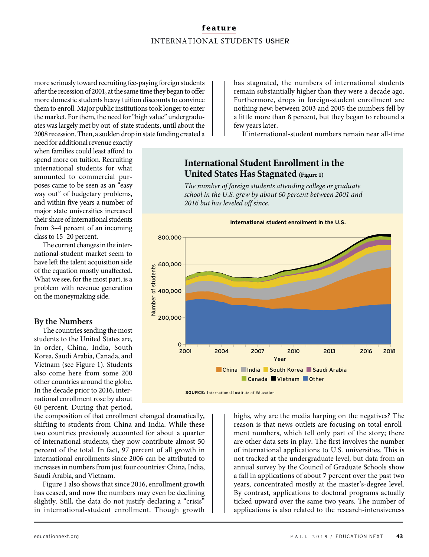#### **feature** INTERNATIONAL STUDENTS USHER

more seriously toward recruiting fee-paying foreign students after the recession of 2001, at the same time they began to offer more domestic students heavy tuition discounts to convince them to enroll. Major public institutions took longer to enter the market. For them, the need for "high value" undergraduates was largely met by out-of-state students, until about the 2008 recession. Then, a sudden drop in state funding created a

need for additional revenue exactly when families could least afford to spend more on tuition. Recruiting international students for what amounted to commercial purposes came to be seen as an "easy way out" of budgetary problems, and within five years a number of major state universities increased their share of international students from 3–4 percent of an incoming class to 15–20 percent.

The current changes in the international-student market seem to have left the talent acquisition side of the equation mostly unaffected. What we see, for the most part, is a problem with revenue generation on the moneymaking side.

#### **By the Numbers**

The countries sending the most students to the United States are, in order, China, India, South Korea, Saudi Arabia, Canada, and Vietnam (see Figure 1). Students also come here from some 200 other countries around the globe. In the decade prior to 2016, international enrollment rose by about 60 percent. During that period,

the composition of that enrollment changed dramatically, shifting to students from China and India. While these two countries previously accounted for about a quarter of international students, they now contribute almost 50 percent of the total. In fact, 97 percent of all growth in international enrollments since 2006 can be attributed to increases in numbers from just four countries: China, India, Saudi Arabia, and Vietnam.

Figure 1 also shows that since 2016, enrollment growth has ceased, and now the numbers may even be declining slightly. Still, the data do not justify declaring a "crisis" in international-student enrollment. Though growth

has stagnated, the numbers of international students remain substantially higher than they were a decade ago. Furthermore, drops in foreign-student enrollment are nothing new: between 2003 and 2005 the numbers fell by a little more than 8 percent, but they began to rebound a few years later.

If international-student numbers remain near all-time

### **International Student Enrollment in the United States Has Stagnated (Figure 1)**

*The number of foreign students attending college or graduate school in the U.S. grew by about 60 percent between 2001 and 2016 but has leveled off since.* 



**SOURCE:** International Institute of Education

highs, why are the media harping on the negatives? The reason is that news outlets are focusing on total-enrollment numbers, which tell only part of the story; there are other data sets in play. The first involves the number of international applications to U.S. universities. This is not tracked at the undergraduate level, but data from an annual survey by the Council of Graduate Schools show a fall in applications of about 7 percent over the past two years, concentrated mostly at the master's-degree level. By contrast, applications to doctoral programs actually ticked upward over the same two years. The number of applications is also related to the research-intensiveness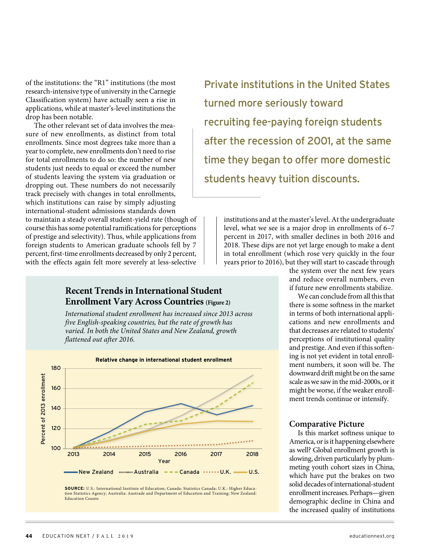of the institutions: the "R1" institutions (the most research-intensive type of university in the Carnegie Classification system) have actually seen a rise in applications, while at master's-level institutions the drop has been notable.

The other relevant set of data involves the measure of new enrollments, as distinct from total enrollments. Since most degrees take more than a year to complete, new enrollments don't need to rise for total enrollments to do so: the number of new students just needs to equal or exceed the number of students leaving the system via graduation or dropping out. These numbers do not necessarily track precisely with changes in total enrollments, which institutions can raise by simply adjusting international-student admissions standards down

to maintain a steady overall student-yield rate (though of course this has some potential ramifications for perceptions of prestige and selectivity). Thus, while applications from foreign students to American graduate schools fell by 7 percent, first-time enrollments decreased by only 2 percent, with the effects again felt more severely at less-selective

#### **Recent Trends in International Student Enrollment Vary Across Countries (Figure 2)**

*International student enrollment has increased since 2013 across five English-speaking countries, but the rate of growth has varied. In both the United States and New Zealand, growth flattened out after 2016.*



**SOURCE:** U.S.: International Institute of Education; Canada: Statistics Canada; U.K.: Higher Education Statistics Agency; Australia: Austrade and Department of Education and Training; New Zealand: Education Counts

Private institutions in the United States turned more seriously toward recruiting fee-paying foreign students after the recession of 2001, at the same time they began to offer more domestic students heavy tuition discounts.

> institutions and at the master's level. At the undergraduate level, what we see is a major drop in enrollments of 6–7 percent in 2017, with smaller declines in both 2016 and 2018. These dips are not yet large enough to make a dent in total enrollment (which rose very quickly in the four years prior to 2016), but they will start to cascade through

the system over the next few years and reduce overall numbers, even if future new enrollments stabilize.

We can conclude from all this that there is some softness in the market in terms of both international applications and new enrollments and that decreases are related to students' perceptions of institutional quality and prestige. And even if this softening is not yet evident in total enrollment numbers, it soon will be. The downward drift might be on the same scale as we saw in the mid-2000s, or it might be worse, if the weaker enrollment trends continue or intensify.

#### **Comparative Picture**

Is this market softness unique to America, or is it happening elsewhere as well? Global enrollment growth is slowing, driven particularly by plummeting youth cohort sizes in China, which have put the brakes on two solid decades of international-student enrollment increases. Perhaps—given demographic decline in China and the increased quality of institutions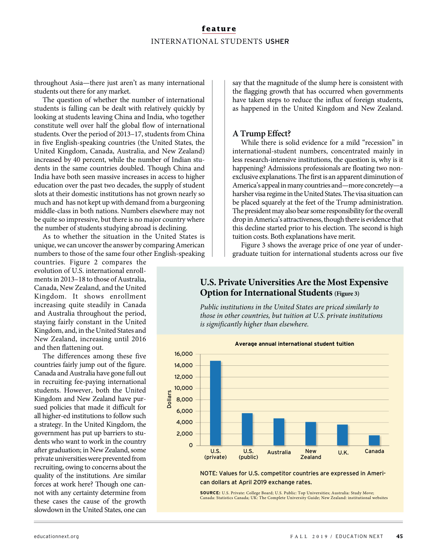#### **feature** INTERNATIONAL STUDENTS USHER

throughout Asia—there just aren't as many international students out there for any market.

The question of whether the number of international students is falling can be dealt with relatively quickly by looking at students leaving China and India, who together constitute well over half the global flow of international students. Over the period of 2013–17, students from China in five English-speaking countries (the United States, the United Kingdom, Canada, Australia, and New Zealand) increased by 40 percent, while the number of Indian students in the same countries doubled. Though China and India have both seen massive increases in access to higher education over the past two decades, the supply of student slots at their domestic institutions has not grown nearly so much and has not kept up with demand from a burgeoning middle-class in both nations. Numbers elsewhere may not be quite so impressive, but there is no major country where the number of students studying abroad is declining.

As to whether the situation in the United States is unique, we can uncover the answer by comparing American numbers to those of the same four other English-speaking

countries. Figure 2 compares the evolution of U.S. international enrollments in 2013–18 to those of Australia, Canada, New Zealand, and the United Kingdom. It shows enrollment increasing quite steadily in Canada and Australia throughout the period, staying fairly constant in the United Kingdom, and, in the United States and New Zealand, increasing until 2016 and then flattening out.

The differences among these five countries fairly jump out of the figure. Canada and Australia have gone full out in recruiting fee-paying international students. However, both the United Kingdom and New Zealand have pursued policies that made it difficult for all higher-ed institutions to follow such a strategy. In the United Kingdom, the government has put up barriers to students who want to work in the country after graduation; in New Zealand, some private universities were prevented from recruiting, owing to concerns about the quality of the institutions. Are similar forces at work here? Though one cannot with any certainty determine from these cases the cause of the growth slowdown in the United States, one can

say that the magnitude of the slump here is consistent with the flagging growth that has occurred when governments have taken steps to reduce the influx of foreign students, as happened in the United Kingdom and New Zealand.

#### **A Trump Effect?**

While there is solid evidence for a mild "recession" in international-student numbers, concentrated mainly in less research-intensive institutions, the question is, why is it happening? Admissions professionals are floating two nonexclusive explanations. The first is an apparent diminution of America's appeal in many countries and—more concretely—a harsher visa regime in the United States. The visa situation can be placed squarely at the feet of the Trump administration. The president may also bear some responsibility for the overall drop in America's attractiveness, though there is evidence that this decline started prior to his election. The second is high tuition costs. Both explanations have merit.

Figure 3 shows the average price of one year of undergraduate tuition for international students across our five

#### **U.S. Private Universities Are the Most Expensive Option for International Students** (Figure 3)

*Public institutions in the United States are priced similarly to those in other countries, but tuition at U.S. private institutions is significantly higher than elsewhere.*



#### NOTE: Values for U.S. competitor countries are expressed in American dollars at April 2019 exchange rates.

**SOURCE:** U.S. Private: College Board; U.S. Public: Top Universities; Australia: Study Move; Canada: Statistics Canada; UK: The Complete University Guide; New Zealand: institutional websites